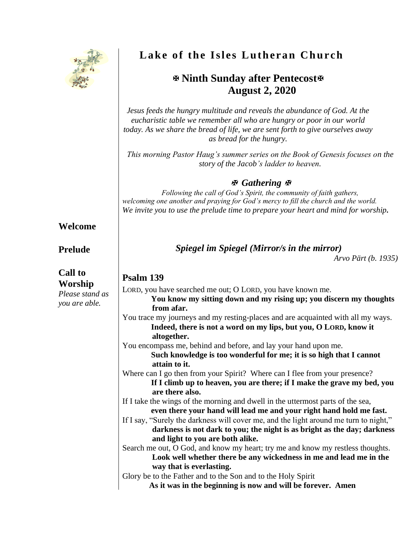

# **Lake of the Isles Lutheran Church**

## **Ninth Sunday after Pentecost August 2, 2020**

*Jesus feeds the hungry multitude and reveals the abundance of God. At the eucharistic table we remember all who are hungry or poor in our world today. As we share the bread of life, we are sent forth to give ourselves away as bread for the hungry.*

*This morning Pastor Haug's summer series on the Book of Genesis focuses on the story of the Jacob's ladder to heaven.*

#### *Gathering*

*Following the call of God's Spirit, the community of faith gathers, welcoming one another and praying for God's mercy to fill the church and the world. We invite you to use the prelude time to prepare your heart and mind for worship.*

#### **Welcome**

#### **Prelude**

**Call to Worship** *Please stand as you are able.*

#### *Spiegel im Spiegel (Mirror/s in the mirror)*

*Arvo Pärt (b. 1935)*

#### **Psalm 139**

| LORD, you have searched me out; O LORD, you have known me.                            |  |  |  |
|---------------------------------------------------------------------------------------|--|--|--|
| You know my sitting down and my rising up; you discern my thoughts                    |  |  |  |
| from afar.                                                                            |  |  |  |
| You trace my journeys and my resting-places and are acquainted with all my ways.      |  |  |  |
| Indeed, there is not a word on my lips, but you, O LORD, know it                      |  |  |  |
| altogether.                                                                           |  |  |  |
| You encompass me, behind and before, and lay your hand upon me.                       |  |  |  |
| Such knowledge is too wonderful for me; it is so high that I cannot                   |  |  |  |
| attain to it.                                                                         |  |  |  |
| Where can I go then from your Spirit? Where can I flee from your presence?            |  |  |  |
| If I climb up to heaven, you are there; if I make the grave my bed, you               |  |  |  |
| are there also.                                                                       |  |  |  |
| If I take the wings of the morning and dwell in the uttermost parts of the sea,       |  |  |  |
| even there your hand will lead me and your right hand hold me fast.                   |  |  |  |
| If I say, "Surely the darkness will cover me, and the light around me turn to night," |  |  |  |
| darkness is not dark to you; the night is as bright as the day; darkness              |  |  |  |
| and light to you are both alike.                                                      |  |  |  |
| Search me out, O God, and know my heart; try me and know my restless thoughts.        |  |  |  |
| Look well whether there be any wickedness in me and lead me in the                    |  |  |  |
| way that is everlasting.                                                              |  |  |  |
| Glory be to the Father and to the Son and to the Holy Spirit                          |  |  |  |
| As it was in the beginning is now and will be forever. Amen                           |  |  |  |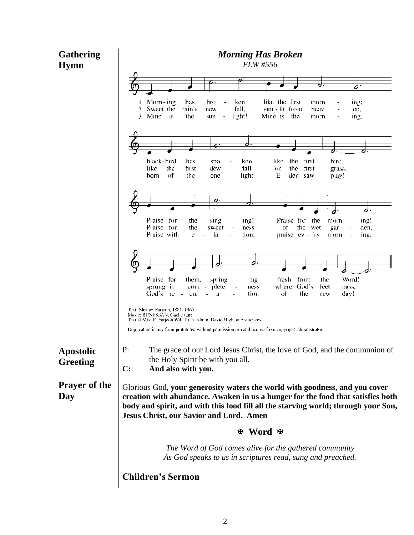### **Gathering Hymn**

**Day**

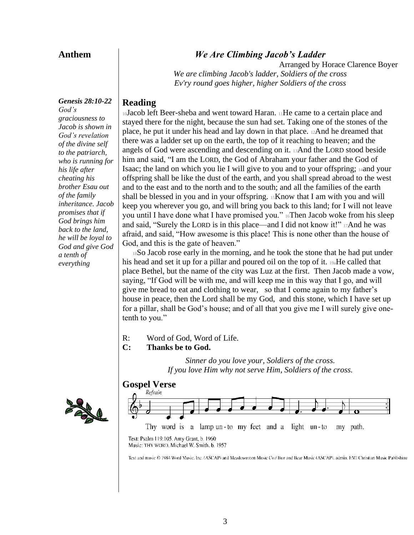#### **Anthem**

#### *We Are Climbing Jacob's Ladder*

Arranged by Horace Clarence Boyer *We are climbing Jacob's ladder, Soldiers of the cross Ev'ry round goes higher, higher Soldiers of the cross*

#### **Reading**

<sup>10</sup>Jacob left Beer-sheba and went toward Haran. 11He came to a certain place and stayed there for the night, because the sun had set. Taking one of the stones of the place, he put it under his head and lay down in that place. 12And he dreamed that there was a ladder set up on the earth, the top of it reaching to heaven; and the angels of God were ascending and descending on it. 13And the LORD stood beside him and said, "I am the LORD, the God of Abraham your father and the God of Isaac; the land on which you lie I will give to you and to your offspring; 14and your offspring shall be like the dust of the earth, and you shall spread abroad to the west and to the east and to the north and to the south; and all the families of the earth shall be blessed in you and in your offspring. 15Know that I am with you and will keep you wherever you go, and will bring you back to this land; for I will not leave you until I have done what I have promised you." 16Then Jacob woke from his sleep and said, "Surely the LORD is in this place—and I did not know it!" 17And he was afraid, and said, "How awesome is this place! This is none other than the house of God, and this is the gate of heaven."

<sup>18</sup>So Jacob rose early in the morning, and he took the stone that he had put under his head and set it up for a pillar and poured oil on the top of it. 19aHe called that place Bethel, but the name of the city was Luz at the first. Then Jacob made a vow, saying, "If God will be with me, and will keep me in this way that I go, and will give me bread to eat and clothing to wear, so that I come again to my father's house in peace, then the Lord shall be my God, and this stone, which I have set up for a pillar, shall be God's house; and of all that you give me I will surely give onetenth to you."

R: Word of God, Word of Life.

#### **C: Thanks be to God.**

*Sinner do you love your, Soldiers of the cross. If you love Him why not serve Him, Soldiers of the cross.*

# **Gospel Verse**



Text: Psalm 119:105. Amy Grant, b. 1960 Music: THY WORD, Michael W. Smith, b. 1957

Text and music @ 1984 Word Music, Inc. (ASCAP) and Meadowereen Music Co./ Bue and Bear Music (ASCAP), admin. EMI Christian Music Publishing

*Genesis 28:10-22 God's graciousness to Jacob is shown in God's revelation of the divine self to the patriarch, who is running for his life after cheating his brother Esau out of the family inheritance. Jacob promises that if God brings him back to the land, he will be loyal to God and give God a tenth of everything* 

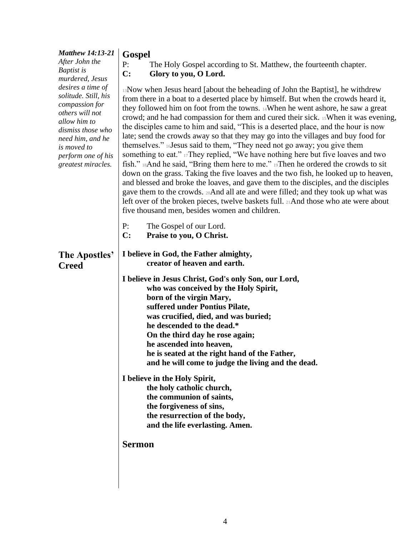|                                                                                                                                                                                                                       | <b>Gospel</b>                                                                                                                                                                                                                                                                                                                                                                                                                                                                                                                                                                                                                                                                                                                                                                                                                                                                                                                                                                                                                                                                                                                               |  |  |  |  |
|-----------------------------------------------------------------------------------------------------------------------------------------------------------------------------------------------------------------------|---------------------------------------------------------------------------------------------------------------------------------------------------------------------------------------------------------------------------------------------------------------------------------------------------------------------------------------------------------------------------------------------------------------------------------------------------------------------------------------------------------------------------------------------------------------------------------------------------------------------------------------------------------------------------------------------------------------------------------------------------------------------------------------------------------------------------------------------------------------------------------------------------------------------------------------------------------------------------------------------------------------------------------------------------------------------------------------------------------------------------------------------|--|--|--|--|
| After John the                                                                                                                                                                                                        | P:<br>The Holy Gospel according to St. Matthew, the fourteenth chapter.                                                                                                                                                                                                                                                                                                                                                                                                                                                                                                                                                                                                                                                                                                                                                                                                                                                                                                                                                                                                                                                                     |  |  |  |  |
| Baptist is                                                                                                                                                                                                            | $\mathbf{C}$ :<br>Glory to you, O Lord.                                                                                                                                                                                                                                                                                                                                                                                                                                                                                                                                                                                                                                                                                                                                                                                                                                                                                                                                                                                                                                                                                                     |  |  |  |  |
| murdered, Jesus<br>desires a time of<br>solitude. Still, his<br>compassion for<br>others will not<br>allow him to<br>dismiss those who<br>need him, and he<br>is moved to<br>perform one of his<br>greatest miracles. | 13 Now when Jesus heard [about the beheading of John the Baptist], he withdrew<br>from there in a boat to a deserted place by himself. But when the crowds heard it,<br>they followed him on foot from the towns. 14When he went ashore, he saw a great<br>crowd; and he had compassion for them and cured their sick. 15 When it was evening,<br>the disciples came to him and said, "This is a deserted place, and the hour is now<br>late; send the crowds away so that they may go into the villages and buy food for<br>themselves." 16 Jesus said to them, "They need not go away; you give them<br>something to eat." 17They replied, "We have nothing here but five loaves and two<br>fish." 18And he said, "Bring them here to me." 19Then he ordered the crowds to sit<br>down on the grass. Taking the five loaves and the two fish, he looked up to heaven,<br>and blessed and broke the loaves, and gave them to the disciples, and the disciples<br>gave them to the crowds. 20 And all ate and were filled; and they took up what was<br>left over of the broken pieces, twelve baskets full. 21And those who ate were about |  |  |  |  |
|                                                                                                                                                                                                                       | five thousand men, besides women and children.                                                                                                                                                                                                                                                                                                                                                                                                                                                                                                                                                                                                                                                                                                                                                                                                                                                                                                                                                                                                                                                                                              |  |  |  |  |
|                                                                                                                                                                                                                       | P:<br>The Gospel of our Lord.                                                                                                                                                                                                                                                                                                                                                                                                                                                                                                                                                                                                                                                                                                                                                                                                                                                                                                                                                                                                                                                                                                               |  |  |  |  |
|                                                                                                                                                                                                                       | C:<br>Praise to you, O Christ.                                                                                                                                                                                                                                                                                                                                                                                                                                                                                                                                                                                                                                                                                                                                                                                                                                                                                                                                                                                                                                                                                                              |  |  |  |  |
| The Apostles'<br><b>Creed</b>                                                                                                                                                                                         | I believe in God, the Father almighty,<br>creator of heaven and earth.<br>I believe in Jesus Christ, God's only Son, our Lord,                                                                                                                                                                                                                                                                                                                                                                                                                                                                                                                                                                                                                                                                                                                                                                                                                                                                                                                                                                                                              |  |  |  |  |
|                                                                                                                                                                                                                       |                                                                                                                                                                                                                                                                                                                                                                                                                                                                                                                                                                                                                                                                                                                                                                                                                                                                                                                                                                                                                                                                                                                                             |  |  |  |  |
|                                                                                                                                                                                                                       | who was conceived by the Holy Spirit,<br>born of the virgin Mary,<br>suffered under Pontius Pilate,<br>was crucified, died, and was buried;<br>he descended to the dead.*<br>On the third day he rose again;<br>he ascended into heaven,<br>he is seated at the right hand of the Father,<br>and he will come to judge the living and the dead.                                                                                                                                                                                                                                                                                                                                                                                                                                                                                                                                                                                                                                                                                                                                                                                             |  |  |  |  |
|                                                                                                                                                                                                                       | I believe in the Holy Spirit,<br>the holy catholic church,<br>the communion of saints,<br>the forgiveness of sins,<br>the resurrection of the body,<br>and the life everlasting. Amen.                                                                                                                                                                                                                                                                                                                                                                                                                                                                                                                                                                                                                                                                                                                                                                                                                                                                                                                                                      |  |  |  |  |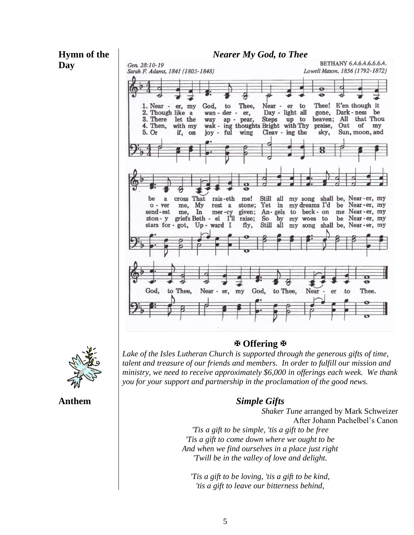



**Anthem**

#### **Offering**

Lake of the Isles Lutheran Church is supported through the generous gifts of time, *talent and treasure of our friends and members. In order to fulfill our mission and ministry, we need to receive approximately \$6,000 in offerings each week. We thank you for your support and partnership in the proclamation of the good news.*

#### *Simple Gifts*

*Shaker Tune* arranged by Mark Schweizer After Johann Pachelbel's Canon *'Tis a gift to be simple, 'tis a gift to be free 'Tis a gift to come down where we ought to be And when we find ourselves in a place just right 'Twill be in the valley of love and delight.*

*'Tis a gift to be loving, 'tis a gift to be kind, 'tis a gift to leave our bitterness behind,*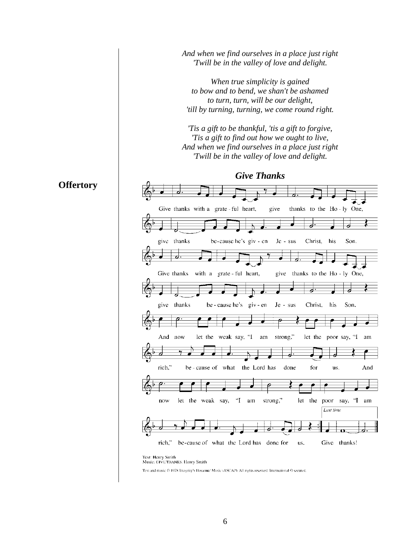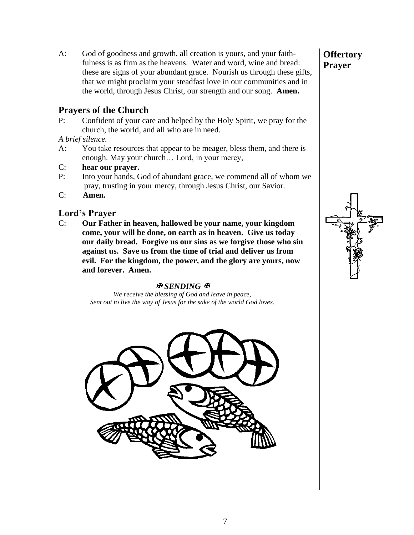A: God of goodness and growth, all creation is yours, and your faithfulness is as firm as the heavens. Water and word, wine and bread: these are signs of your abundant grace. Nourish us through these gifts, that we might proclaim your steadfast love in our communities and in the world, through Jesus Christ, our strength and our song. **Amen.**

#### **Prayers of the Church**

P: Confident of your care and helped by the Holy Spirit, we pray for the church, the world, and all who are in need.

*A brief silence.*

- A: You take resources that appear to be meager, bless them, and there is enough. May your church… Lord, in your mercy,
- C: **hear our prayer.**
- P: Into your hands, God of abundant grace, we commend all of whom we pray, trusting in your mercy, through Jesus Christ, our Savior.
- C: **Amen.**

#### **Lord's Prayer**

C: **Our Father in heaven, hallowed be your name, your kingdom come, your will be done, on earth as in heaven. Give us today our daily bread. Forgive us our sins as we forgive those who sin against us. Save us from the time of trial and deliver us from evil. For the kingdom, the power, and the glory are yours, now and forever. Amen.**

#### **图SENDING** 图

*We receive the blessing of God and leave in peace, Sent out to live the way of Jesus for the sake of the world God loves.*



#### **Offertory Prayer**

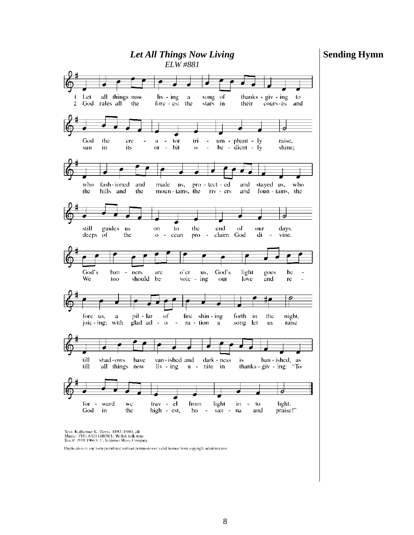#### **Sending Hymn**



Daplication in any form prohibited without permission or valid license from copyright administrator.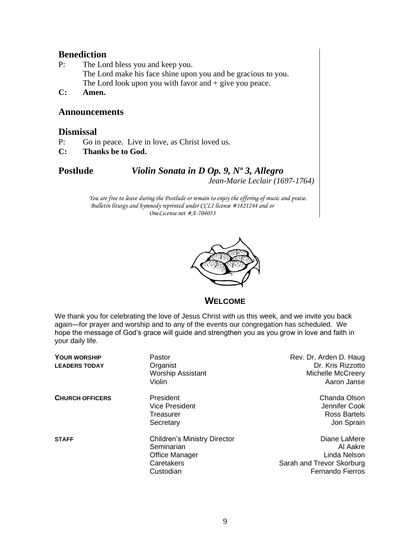# **Benediction**<br>P: The Lor

- The Lord bless you and keep you. The Lord make his face shine upon you and be gracious to you. The Lord look upon you with favor and  $+$  give you peace.
- **C: Amen.**

#### **Announcements**

#### **Dismissal**

- P: Go in peace. Live in love, as Christ loved us.
- **C: Thanks be to God.**

**Postlude** *Violin Sonata in D Op. 9, Nº 3, Allegro Jean-Marie Leclair (1697-1764)*

> *You are free to leave during the Postlude or remain to enjoy the offering of music and praise. Bulletin liturgy and hymnody reprinted under CCLI license #1821244 and or OneLicense.net #A-704053*



**WELCOME**

We thank you for celebrating the love of Jesus Christ with us this week, and we invite you back again—for prayer and worship and to any of the events our congregation has scheduled. We hope the message of God's grace will guide and strengthen you as you grow in love and faith in your daily life.

| <b>YOUR WORSHIP</b><br><b>LEADERS TODAY</b> | Pastor<br>Organist<br><b>Worship Assistant</b><br>Violin                                       | Rev. Dr. Arden D. Haug<br>Dr. Kris Rizzotto<br><b>Michelle McCreery</b><br>Aaron Janse           |
|---------------------------------------------|------------------------------------------------------------------------------------------------|--------------------------------------------------------------------------------------------------|
| <b>CHURCH OFFICERS</b>                      | President<br><b>Vice President</b><br>Treasurer<br>Secretary                                   | Chanda Olson<br>Jennifer Cook<br>Ross Bartels<br>Jon Sprain                                      |
| <b>STAFF</b>                                | <b>Children's Ministry Director</b><br>Seminarian<br>Office Manager<br>Caretakers<br>Custodian | Diane LaMere<br>Al Aakre<br>Linda Nelson<br>Sarah and Trevor Skorburg<br><b>Fernando Fierros</b> |